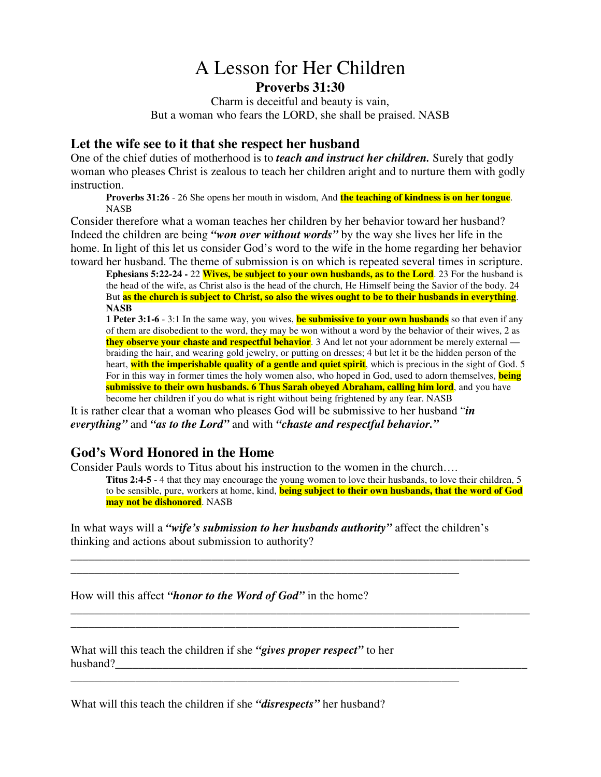## A Lesson for Her Children **Proverbs 31:30**

Charm is deceitful and beauty is vain, But a woman who fears the LORD, she shall be praised. NASB

## **Let the wife see to it that she respect her husband**

One of the chief duties of motherhood is to *teach and instruct her children.* Surely that godly woman who pleases Christ is zealous to teach her children aright and to nurture them with godly instruction.

**Proverbs 31:26** - 26 She opens her mouth in wisdom, And **the teaching of kindness is on her tongue**. NASB

Consider therefore what a woman teaches her children by her behavior toward her husband? Indeed the children are being *"won over without words"* by the way she lives her life in the home. In light of this let us consider God's word to the wife in the home regarding her behavior toward her husband. The theme of submission is on which is repeated several times in scripture.

**Ephesians 5:22-24 -** 22 **Wives, be subject to your own husbands, as to the Lord**. 23 For the husband is the head of the wife, as Christ also is the head of the church, He Himself being the Savior of the body. 24 But as the church is subject to Christ, so also the wives ought to be to their husbands in everything. **NASB**

**1 Peter 3:1-6** - 3:1 In the same way, you wives, **be submissive to your own husbands** so that even if any of them are disobedient to the word, they may be won without a word by the behavior of their wives, 2 as **they observe your chaste and respectful behavior**. 3 And let not your adornment be merely external braiding the hair, and wearing gold jewelry, or putting on dresses; 4 but let it be the hidden person of the heart, **with the imperishable quality of a gentle and quiet spirit**, which is precious in the sight of God. 5 For in this way in former times the holy women also, who hoped in God, used to adorn themselves, **being submissive to their own husbands. 6 Thus Sarah obeyed Abraham, calling him lord**, and you have become her children if you do what is right without being frightened by any fear. NASB

It is rather clear that a woman who pleases God will be submissive to her husband "*in everything"* and *"as to the Lord"* and with *"chaste and respectful behavior."*

## **God's Word Honored in the Home**

Consider Pauls words to Titus about his instruction to the women in the church….

**Titus 2:4-5** - 4 that they may encourage the young women to love their husbands, to love their children, 5 to be sensible, pure, workers at home, kind, **being subject to their own husbands, that the word of God may not be dishonored**. NASB

In what ways will a *"wife's submission to her husbands authority"* affect the children's thinking and actions about submission to authority?

\_\_\_\_\_\_\_\_\_\_\_\_\_\_\_\_\_\_\_\_\_\_\_\_\_\_\_\_\_\_\_\_\_\_\_\_\_\_\_\_\_\_\_\_\_\_\_\_\_\_\_\_\_\_\_\_\_\_\_\_\_\_\_\_\_\_

\_\_\_\_\_\_\_\_\_\_\_\_\_\_\_\_\_\_\_\_\_\_\_\_\_\_\_\_\_\_\_\_\_\_\_\_\_\_\_\_\_\_\_\_\_\_\_\_\_\_\_\_\_\_\_\_\_\_\_\_\_\_\_\_\_\_

\_\_\_\_\_\_\_\_\_\_\_\_\_\_\_\_\_\_\_\_\_\_\_\_\_\_\_\_\_\_\_\_\_\_\_\_\_\_\_\_\_\_\_\_\_\_\_\_\_\_\_\_\_\_\_\_\_\_\_\_\_\_\_\_\_\_

\_\_\_\_\_\_\_\_\_\_\_\_\_\_\_\_\_\_\_\_\_\_\_\_\_\_\_\_\_\_\_\_\_\_\_\_\_\_\_\_\_\_\_\_\_\_\_\_\_\_\_\_\_\_\_\_\_\_\_\_\_\_\_\_\_\_\_\_\_\_\_\_\_\_\_\_\_\_

\_\_\_\_\_\_\_\_\_\_\_\_\_\_\_\_\_\_\_\_\_\_\_\_\_\_\_\_\_\_\_\_\_\_\_\_\_\_\_\_\_\_\_\_\_\_\_\_\_\_\_\_\_\_\_\_\_\_\_\_\_\_\_\_\_\_\_\_\_\_\_\_\_\_\_\_\_\_

How will this affect *"honor to the Word of God"* in the home?

What will this teach the children if she *"gives proper respect"* to her husband?

What will this teach the children if she *"disrespects"* her husband?